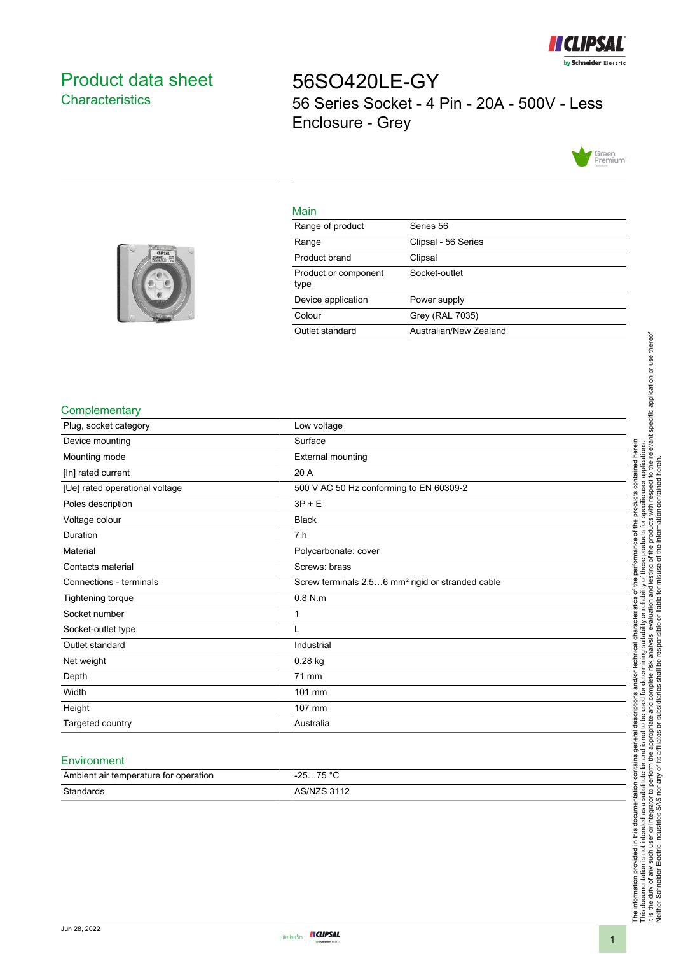

# <span id="page-0-0"></span>Product data sheet **Characteristics**

56SO420LE-GY 56 Series Socket - 4 Pin - 20A - 500V - Less Enclosure - Grey



# Main

| Range of product             | Series 56              |
|------------------------------|------------------------|
| Range                        | Clipsal - 56 Series    |
| Product brand                | Clipsal                |
| Product or component<br>type | Socket-outlet          |
| Device application           | Power supply           |
| Colour                       | Grey (RAL 7035)        |
| Outlet standard              | Australian/New Zealand |
|                              |                        |



### **Complementary**

| Plug, socket category          | Low voltage                                                  |
|--------------------------------|--------------------------------------------------------------|
| Device mounting                | Surface                                                      |
| Mounting mode                  | <b>External mounting</b>                                     |
| [In] rated current             | 20 A                                                         |
| [Ue] rated operational voltage | 500 V AC 50 Hz conforming to EN 60309-2                      |
| Poles description              | $3P + E$                                                     |
| Voltage colour                 | <b>Black</b>                                                 |
| Duration                       | 7 h                                                          |
| Material                       | Polycarbonate: cover                                         |
| Contacts material              | Screws: brass                                                |
| Connections - terminals        | Screw terminals 2.56 mm <sup>2</sup> rigid or stranded cable |
| Tightening torque              | $0.8$ N.m                                                    |
| Socket number                  | 1                                                            |
| Socket-outlet type             |                                                              |
| Outlet standard                | Industrial                                                   |
| Net weight                     | $0.28$ kg                                                    |
| Depth                          | 71 mm                                                        |
| Width                          | 101 mm                                                       |
| Height                         | 107 mm                                                       |
| Targeted country               | Australia                                                    |

#### **Environment**

| Ambient air temperature for operation | 75 °C<br>ว⊏<br>. <b>. ب</b><br><b>20</b> |
|---------------------------------------|------------------------------------------|
| Standards                             | <b>ARINIZR 3112</b>                      |